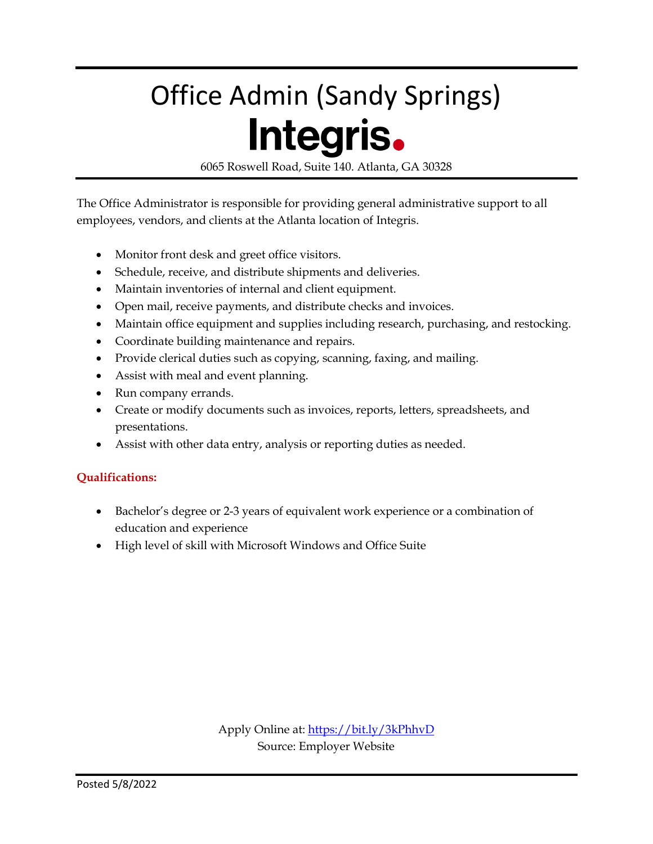# Office Admin (Sandy Springs) Integris.

6065 Roswell Road, Suite 140. Atlanta, GA 30328

The Office Administrator is responsible for providing general administrative support to all employees, vendors, and clients at the Atlanta location of Integris.

- Monitor front desk and greet office visitors.
- Schedule, receive, and distribute shipments and deliveries.
- Maintain inventories of internal and client equipment.
- Open mail, receive payments, and distribute checks and invoices.
- Maintain office equipment and supplies including research, purchasing, and restocking.
- Coordinate building maintenance and repairs.
- Provide clerical duties such as copying, scanning, faxing, and mailing.
- Assist with meal and event planning.
- Run company errands.
- Create or modify documents such as invoices, reports, letters, spreadsheets, and presentations.
- Assist with other data entry, analysis or reporting duties as needed.

#### **Qualifications:**

- Bachelor's degree or 2-3 years of equivalent work experience or a combination of education and experience
- High level of skill with Microsoft Windows and Office Suite

Apply Online at:<https://bit.ly/3kPhhvD> Source: Employer Website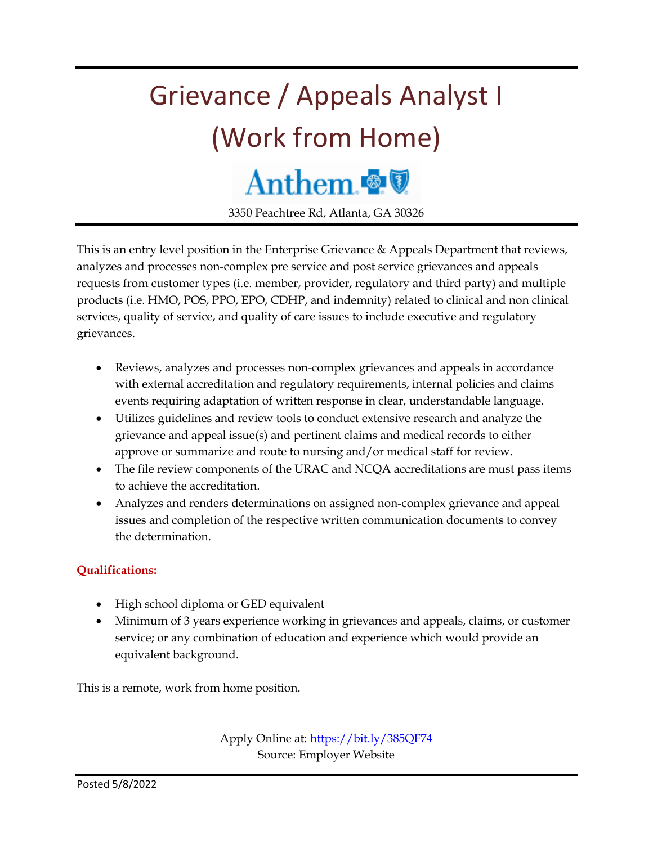# Grievance / Appeals Analyst I (Work from Home) Anthem

3350 Peachtree Rd, Atlanta, GA 30326

This is an entry level position in the Enterprise Grievance & Appeals Department that reviews, analyzes and processes non-complex pre service and post service grievances and appeals requests from customer types (i.e. member, provider, regulatory and third party) and multiple products (i.e. HMO, POS, PPO, EPO, CDHP, and indemnity) related to clinical and non clinical services, quality of service, and quality of care issues to include executive and regulatory grievances.

- Reviews, analyzes and processes non-complex grievances and appeals in accordance with external accreditation and regulatory requirements, internal policies and claims events requiring adaptation of written response in clear, understandable language.
- Utilizes guidelines and review tools to conduct extensive research and analyze the grievance and appeal issue(s) and pertinent claims and medical records to either approve or summarize and route to nursing and/or medical staff for review.
- The file review components of the URAC and NCQA accreditations are must pass items to achieve the accreditation.
- Analyzes and renders determinations on assigned non-complex grievance and appeal issues and completion of the respective written communication documents to convey the determination.

#### **Qualifications:**

- High school diploma or GED equivalent
- Minimum of 3 years experience working in grievances and appeals, claims, or customer service; or any combination of education and experience which would provide an equivalent background.

This is a remote, work from home position.

Apply Online at[: https://bit.ly/385QF74](https://bit.ly/385QF74) Source: Employer Website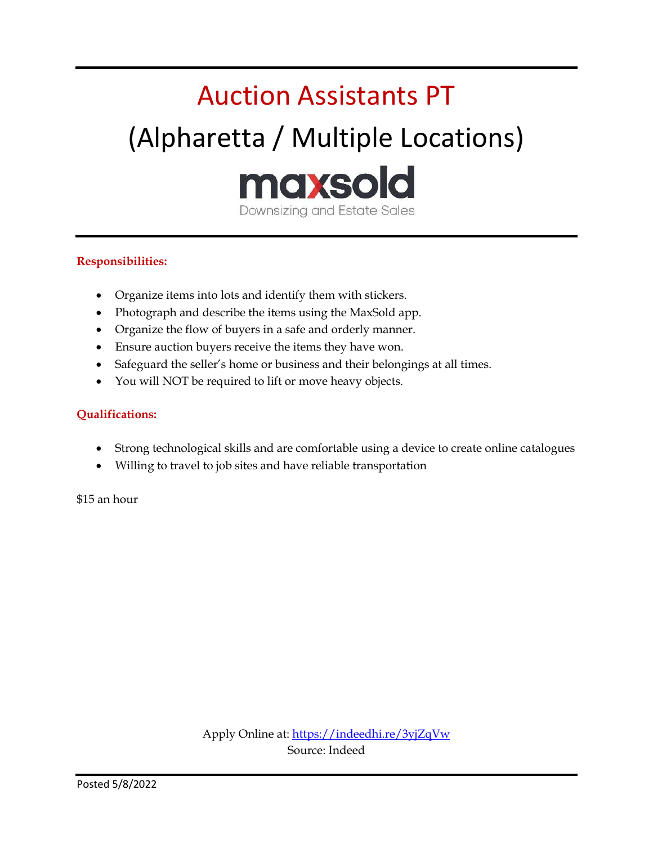## Auction Assistants PT (Alpharetta / Multiple Locations) maxsold Downsizing and Estate Sales

#### **Responsibilities:**

- Organize items into lots and identify them with stickers.
- Photograph and describe the items using the MaxSold app.
- Organize the flow of buyers in a safe and orderly manner.
- Ensure auction buyers receive the items they have won.
- Safeguard the seller's home or business and their belongings at all times.
- You will NOT be required to lift or move heavy objects.

#### **Qualifications:**

- Strong technological skills and are comfortable using a device to create online catalogues
- Willing to travel to job sites and have reliable transportation

\$15 an hour

Apply Online at:<https://indeedhi.re/3yjZqVw> Source: Indeed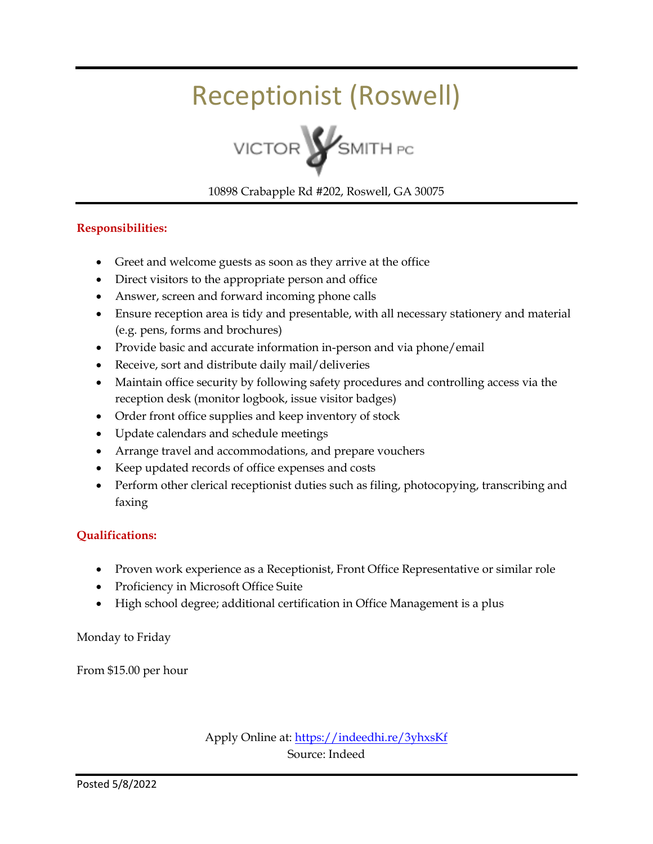### Receptionist (Roswell)



10898 Crabapple Rd #202, Roswell, GA 30075

#### **Responsibilities:**

- Greet and welcome guests as soon as they arrive at the office
- Direct visitors to the appropriate person and office
- Answer, screen and forward incoming phone calls
- Ensure reception area is tidy and presentable, with all necessary stationery and material (e.g. pens, forms and brochures)
- Provide basic and accurate information in-person and via phone/email
- Receive, sort and distribute daily mail/deliveries
- Maintain office security by following safety procedures and controlling access via the reception desk (monitor logbook, issue visitor badges)
- Order front office supplies and keep inventory of stock
- Update calendars and schedule meetings
- Arrange travel and accommodations, and prepare vouchers
- Keep updated records of office expenses and costs
- Perform other clerical receptionist duties such as filing, photocopying, transcribing and faxing

#### **Qualifications:**

- Proven work experience as a Receptionist, Front Office Representative or similar role
- Proficiency in Microsoft Office Suite
- High school degree; additional certification in Office Management is a plus

Monday to Friday

From \$15.00 per hour

Apply Online at:<https://indeedhi.re/3yhxsKf> Source: Indeed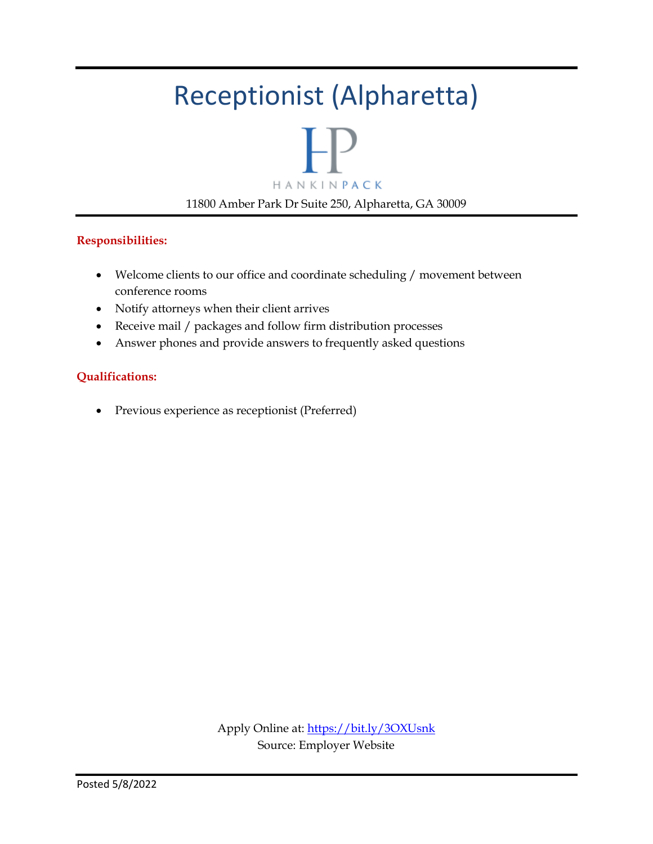### Receptionist (Alpharetta)



#### **Responsibilities:**

- Welcome clients to our office and coordinate scheduling / movement between conference rooms
- Notify attorneys when their client arrives
- Receive mail / packages and follow firm distribution processes
- Answer phones and provide answers to frequently asked questions

#### **Qualifications:**

Previous experience as receptionist (Preferred)

Apply Online at:<https://bit.ly/3OXUsnk> Source: Employer Website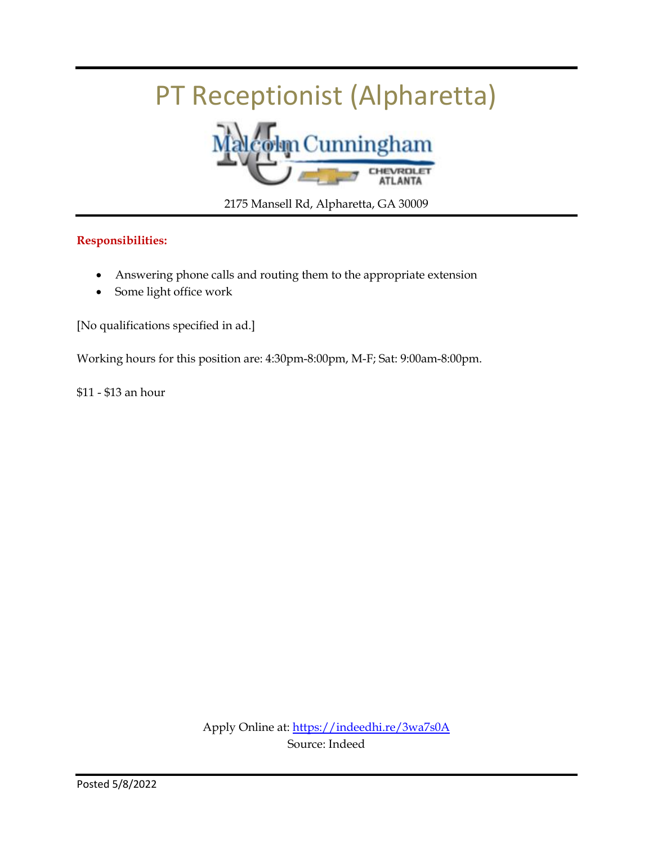## PT Receptionist (Alpharetta)



2175 Mansell Rd, Alpharetta, GA 30009

#### **Responsibilities:**

- Answering phone calls and routing them to the appropriate extension
- Some light office work

[No qualifications specified in ad.]

Working hours for this position are: 4:30pm-8:00pm, M-F; Sat: 9:00am-8:00pm.

\$11 - \$13 an hour

Apply Online at:<https://indeedhi.re/3wa7s0A> Source: Indeed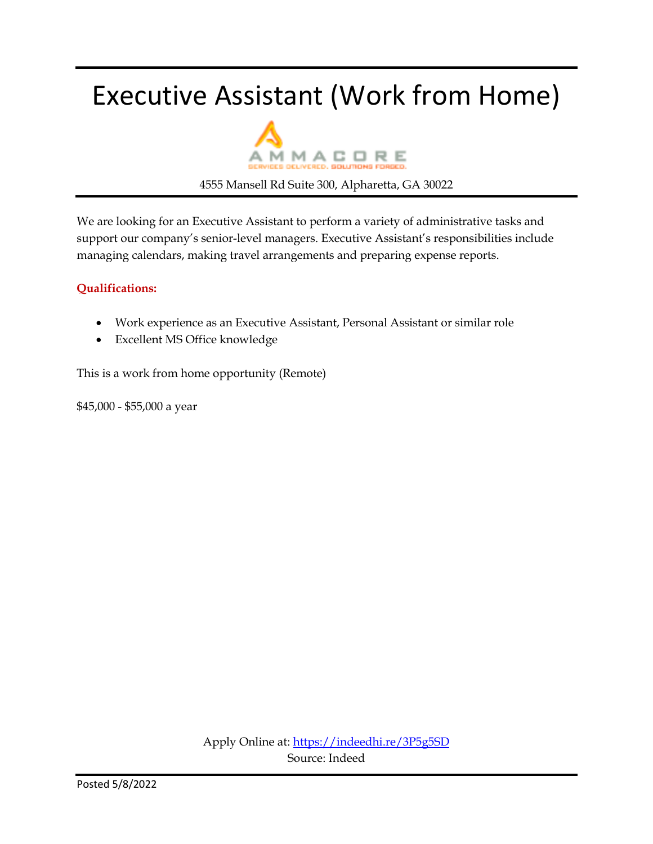### Executive Assistant (Work from Home)



4555 Mansell Rd Suite 300, Alpharetta, GA 30022

We are looking for an Executive Assistant to perform a variety of administrative tasks and support our company's senior-level managers. Executive Assistant's responsibilities include managing calendars, making travel arrangements and preparing expense reports.

#### **Qualifications:**

- Work experience as an Executive Assistant, Personal Assistant or similar role
- Excellent MS Office knowledge

This is a work from home opportunity (Remote)

\$45,000 - \$55,000 a year

Apply Online at:<https://indeedhi.re/3P5g5SD> Source: Indeed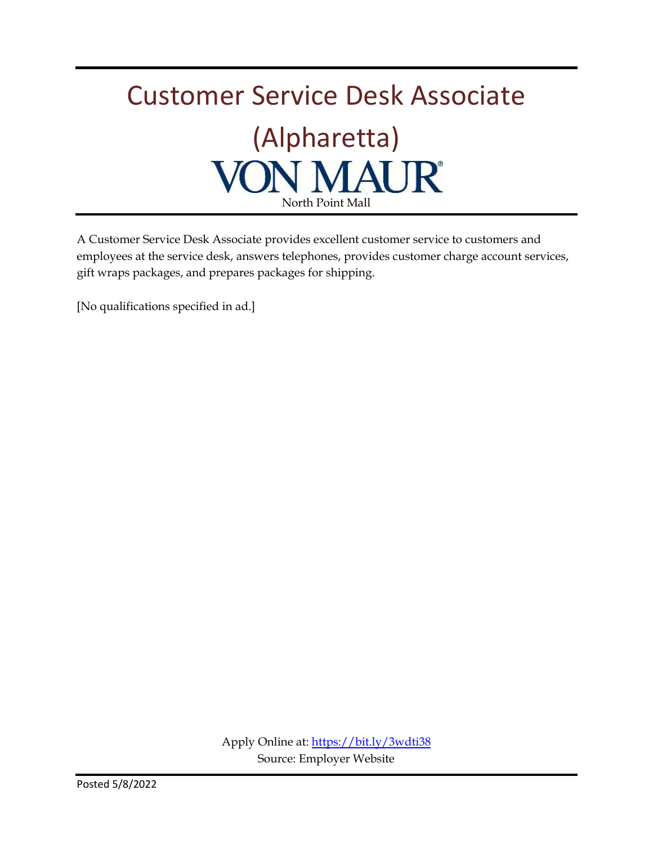# Customer Service Desk Associate (Alpharetta)<br>**N MAUR**<sup>®</sup> North Point Mall

A Customer Service Desk Associate provides excellent customer service to customers and employees at the service desk, answers telephones, provides customer charge account services, gift wraps packages, and prepares packages for shipping.

[No qualifications specified in ad.]

Apply Online at:<https://bit.ly/3wdti38> Source: Employer Website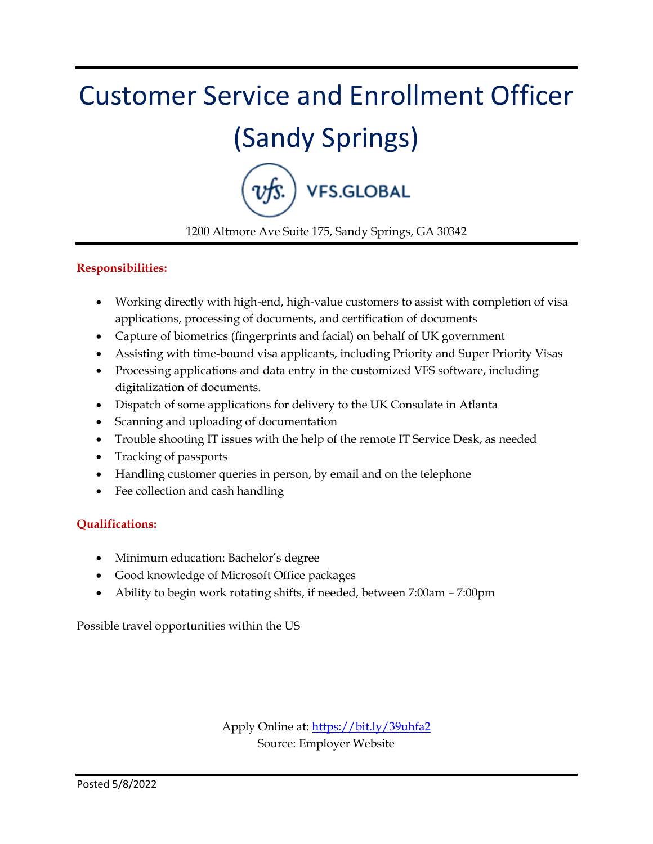# Customer Service and Enrollment Officer (Sandy Springs) VFS.GLOBAL

1200 Altmore Ave Suite 175, Sandy Springs, GA 30342

#### **Responsibilities:**

- Working directly with high-end, high-value customers to assist with completion of visa applications, processing of documents, and certification of documents
- Capture of biometrics (fingerprints and facial) on behalf of UK government
- Assisting with time-bound visa applicants, including Priority and Super Priority Visas
- Processing applications and data entry in the customized VFS software, including digitalization of documents.
- Dispatch of some applications for delivery to the UK Consulate in Atlanta
- Scanning and uploading of documentation
- Trouble shooting IT issues with the help of the remote IT Service Desk, as needed
- Tracking of passports
- Handling customer queries in person, by email and on the telephone
- Fee collection and cash handling

#### **Qualifications:**

- Minimum education: Bachelor's degree
- Good knowledge of Microsoft Office packages
- Ability to begin work rotating shifts, if needed, between 7:00am 7:00pm

Possible travel opportunities within the US

Apply Online at:<https://bit.ly/39uhfa2> Source: Employer Website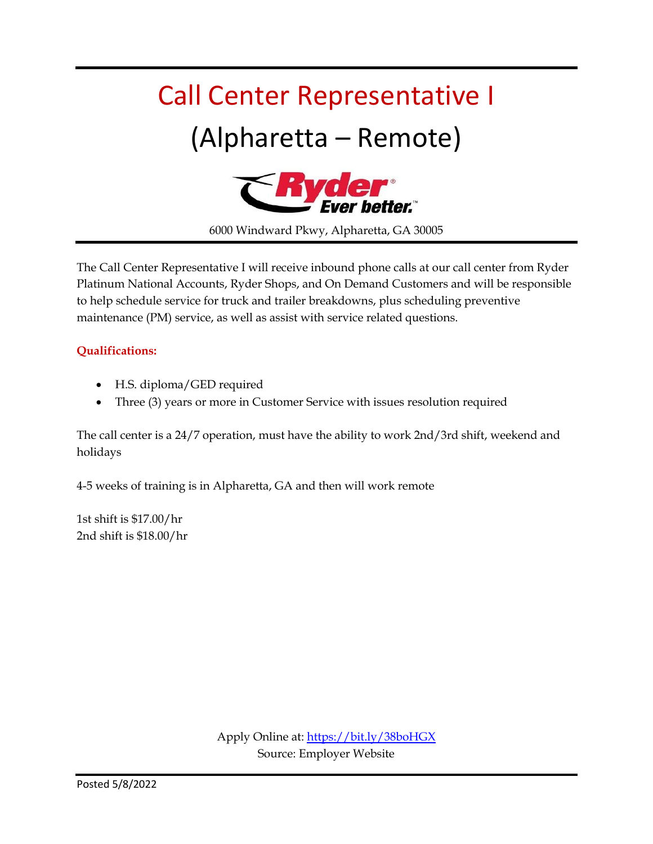# Call Center Representative I (Alpharetta – Remote)



6000 Windward Pkwy, Alpharetta, GA 30005

The Call Center Representative I will receive inbound phone calls at our call center from Ryder Platinum National Accounts, Ryder Shops, and On Demand Customers and will be responsible to help schedule service for truck and trailer breakdowns, plus scheduling preventive maintenance (PM) service, as well as assist with service related questions.

#### **Qualifications:**

- H.S. diploma/GED required
- Three (3) years or more in Customer Service with issues resolution required

The call center is a 24/7 operation, must have the ability to work 2nd/3rd shift, weekend and holidays

4-5 weeks of training is in Alpharetta, GA and then will work remote

1st shift is \$17.00/hr 2nd shift is \$18.00/hr

> Apply Online at:<https://bit.ly/38boHGX> Source: Employer Website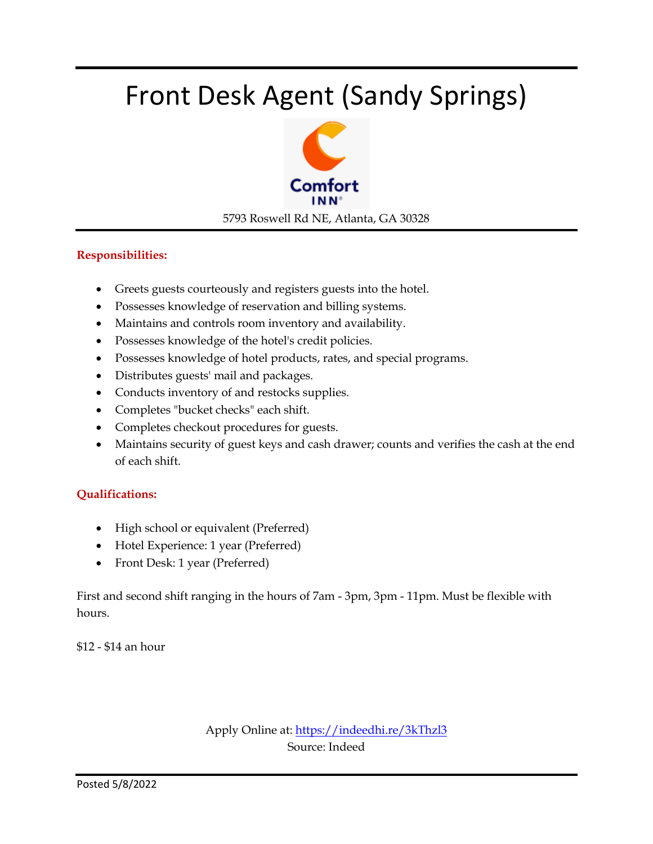### Front Desk Agent (Sandy Springs)



#### **Responsibilities:**

- Greets guests courteously and registers guests into the hotel.
- Possesses knowledge of reservation and billing systems.
- Maintains and controls room inventory and availability.
- Possesses knowledge of the hotel's credit policies.
- Possesses knowledge of hotel products, rates, and special programs.
- Distributes guests' mail and packages.
- Conducts inventory of and restocks supplies.
- Completes "bucket checks" each shift.
- Completes checkout procedures for guests.
- Maintains security of guest keys and cash drawer; counts and verifies the cash at the end of each shift.

#### **Qualifications:**

- High school or equivalent (Preferred)
- Hotel Experience: 1 year (Preferred)
- Front Desk: 1 year (Preferred)

First and second shift ranging in the hours of 7am - 3pm, 3pm - 11pm. Must be flexible with hours.

\$12 - \$14 an hour

Apply Online at:<https://indeedhi.re/3kThzl3> Source: Indeed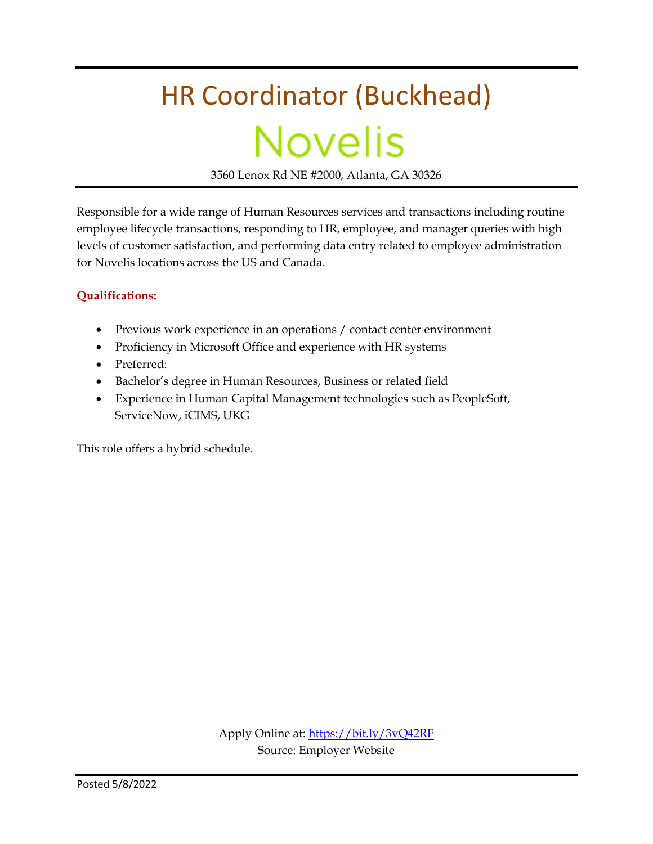# HR Coordinator (Buckhead) **Novelis**

3560 Lenox Rd NE #2000, Atlanta, GA 30326

Responsible for a wide range of Human Resources services and transactions including routine employee lifecycle transactions, responding to HR, employee, and manager queries with high levels of customer satisfaction, and performing data entry related to employee administration for Novelis locations across the US and Canada.

#### **Qualifications:**

- Previous work experience in an operations / contact center environment
- Proficiency in Microsoft Office and experience with HR systems
- Preferred:
- Bachelor's degree in Human Resources, Business or related field
- Experience in Human Capital Management technologies such as PeopleSoft, ServiceNow, iCIMS, UKG

This role offers a hybrid schedule.

Apply Online at:<https://bit.ly/3vQ42RF> Source: Employer Website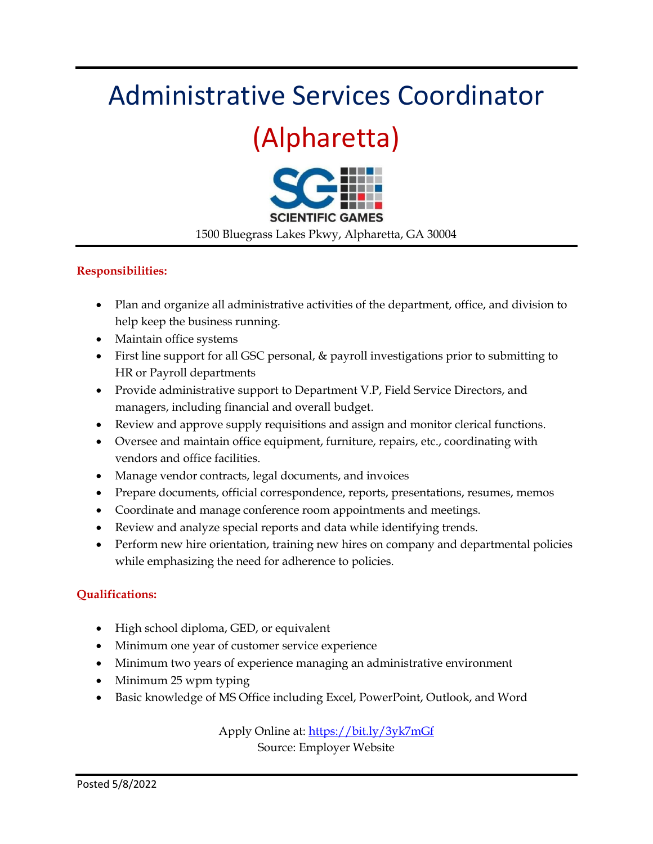### Administrative Services Coordinator

### (Alpharetta)



1500 Bluegrass Lakes Pkwy, Alpharetta, GA 30004

#### **Responsibilities:**

- Plan and organize all administrative activities of the department, office, and division to help keep the business running.
- Maintain office systems
- First line support for all GSC personal, & payroll investigations prior to submitting to HR or Payroll departments
- Provide administrative support to Department V.P, Field Service Directors, and managers, including financial and overall budget.
- Review and approve supply requisitions and assign and monitor clerical functions.
- Oversee and maintain office equipment, furniture, repairs, etc., coordinating with vendors and office facilities.
- Manage vendor contracts, legal documents, and invoices
- Prepare documents, official correspondence, reports, presentations, resumes, memos
- Coordinate and manage conference room appointments and meetings.
- Review and analyze special reports and data while identifying trends.
- Perform new hire orientation, training new hires on company and departmental policies while emphasizing the need for adherence to policies.

#### **Qualifications:**

- High school diploma, GED, or equivalent
- Minimum one year of customer service experience
- Minimum two years of experience managing an administrative environment
- Minimum 25 wpm typing
- Basic knowledge of MS Office including Excel, PowerPoint, Outlook, and Word

Apply Online at:<https://bit.ly/3yk7mGf> Source: Employer Website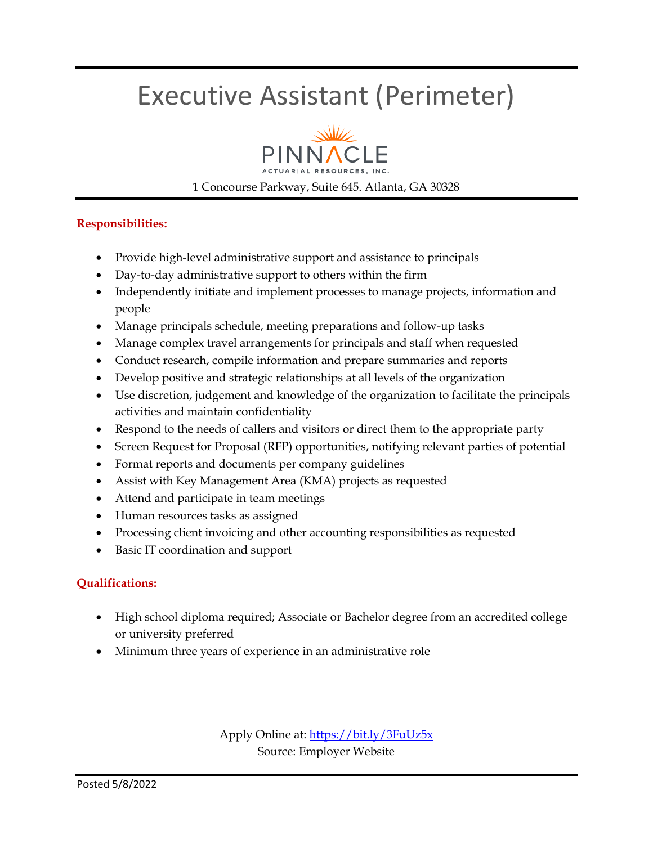### Executive Assistant (Perimeter)



1 Concourse Parkway, Suite 645. Atlanta, GA 30328

#### **Responsibilities:**

- Provide high-level administrative support and assistance to principals
- Day-to-day administrative support to others within the firm
- Independently initiate and implement processes to manage projects, information and people
- Manage principals schedule, meeting preparations and follow-up tasks
- Manage complex travel arrangements for principals and staff when requested
- Conduct research, compile information and prepare summaries and reports
- Develop positive and strategic relationships at all levels of the organization
- Use discretion, judgement and knowledge of the organization to facilitate the principals activities and maintain confidentiality
- Respond to the needs of callers and visitors or direct them to the appropriate party
- Screen Request for Proposal (RFP) opportunities, notifying relevant parties of potential
- Format reports and documents per company guidelines
- Assist with Key Management Area (KMA) projects as requested
- Attend and participate in team meetings
- Human resources tasks as assigned
- Processing client invoicing and other accounting responsibilities as requested
- Basic IT coordination and support

#### **Qualifications:**

- High school diploma required; Associate or Bachelor degree from an accredited college or university preferred
- Minimum three years of experience in an administrative role

Apply Online at:<https://bit.ly/3FuUz5x> Source: Employer Website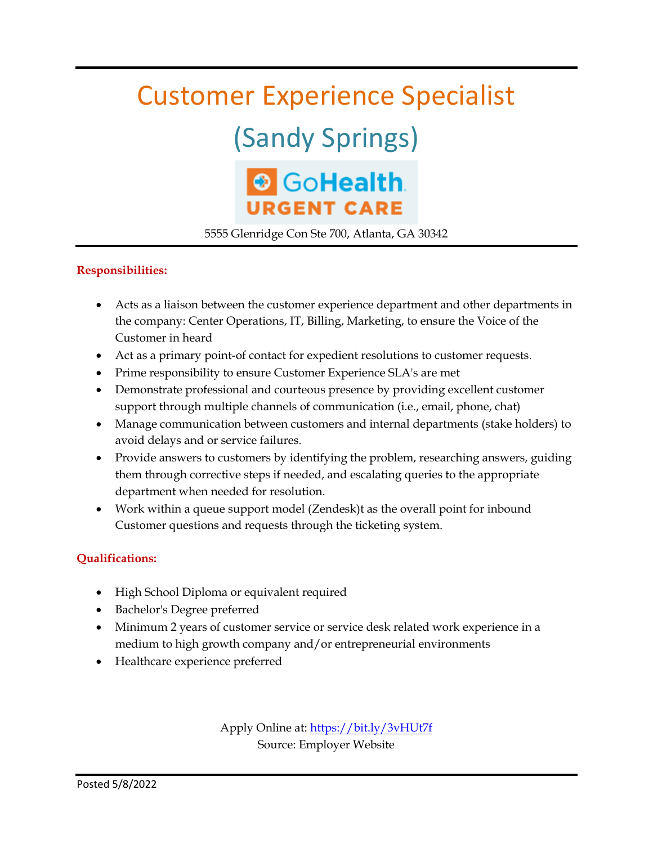### Customer Experience Specialist

## (Sandy Springs)

### SoHealth **URGENT CARE**

5555 Glenridge Con Ste 700, Atlanta, GA 30342

#### **Responsibilities:**

- Acts as a liaison between the customer experience department and other departments in the company: Center Operations, IT, Billing, Marketing, to ensure the Voice of the Customer in heard
- Act as a primary point-of contact for expedient resolutions to customer requests.
- Prime responsibility to ensure Customer Experience SLA's are met
- Demonstrate professional and courteous presence by providing excellent customer support through multiple channels of communication (i.e., email, phone, chat)
- Manage communication between customers and internal departments (stake holders) to avoid delays and or service failures.
- Provide answers to customers by identifying the problem, researching answers, guiding them through corrective steps if needed, and escalating queries to the appropriate department when needed for resolution.
- Work within a queue support model (Zendesk)t as the overall point for inbound Customer questions and requests through the ticketing system.

#### **Qualifications:**

- High School Diploma or equivalent required
- Bachelor's Degree preferred
- Minimum 2 years of customer service or service desk related work experience in a medium to high growth company and/or entrepreneurial environments
- Healthcare experience preferred

Apply Online at:<https://bit.ly/3vHUt7f> Source: Employer Website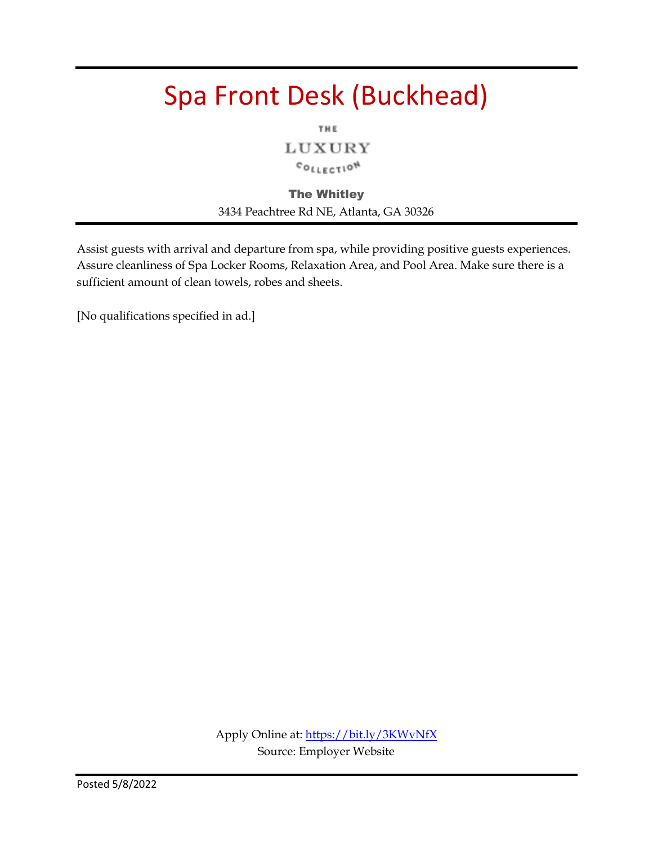### Spa Front Desk (Buckhead)

THE

LUXURY COLLECTION

The Whitley 3434 Peachtree Rd NE, Atlanta, GA 30326

Assist guests with arrival and departure from spa, while providing positive guests experiences. Assure cleanliness of Spa Locker Rooms, Relaxation Area, and Pool Area. Make sure there is a sufficient amount of clean towels, robes and sheets.

[No qualifications specified in ad.]

Apply Online at:<https://bit.ly/3KWvNfX> Source: Employer Website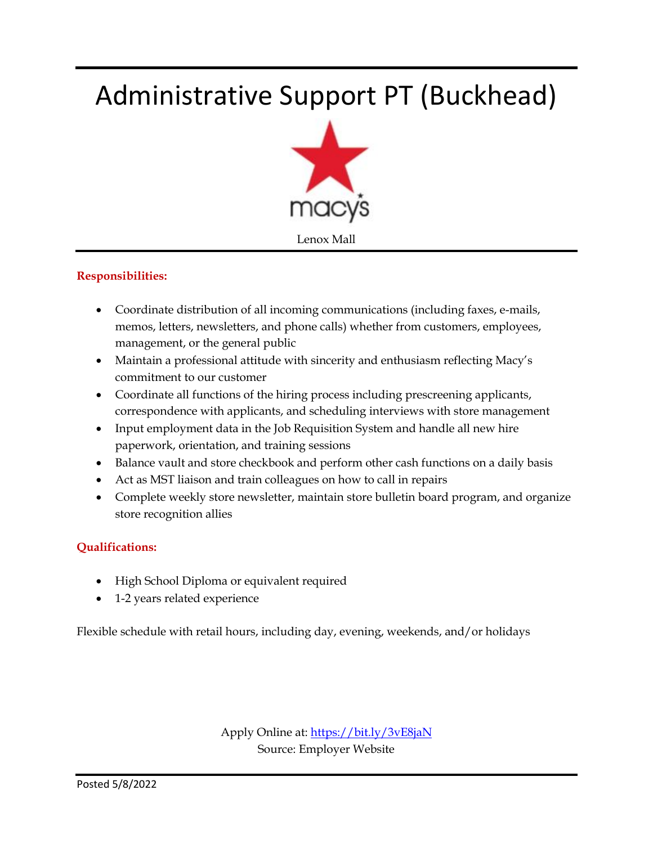### Administrative Support PT (Buckhead)



#### **Responsibilities:**

- Coordinate distribution of all incoming communications (including faxes, e-mails, memos, letters, newsletters, and phone calls) whether from customers, employees, management, or the general public
- Maintain a professional attitude with sincerity and enthusiasm reflecting Macy's commitment to our customer
- Coordinate all functions of the hiring process including prescreening applicants, correspondence with applicants, and scheduling interviews with store management
- Input employment data in the Job Requisition System and handle all new hire paperwork, orientation, and training sessions
- Balance vault and store checkbook and perform other cash functions on a daily basis
- Act as MST liaison and train colleagues on how to call in repairs
- Complete weekly store newsletter, maintain store bulletin board program, and organize store recognition allies

#### **Qualifications:**

- High School Diploma or equivalent required
- 1-2 years related experience

Flexible schedule with retail hours, including day, evening, weekends, and/or holidays

Apply Online at:<https://bit.ly/3vE8jaN> Source: Employer Website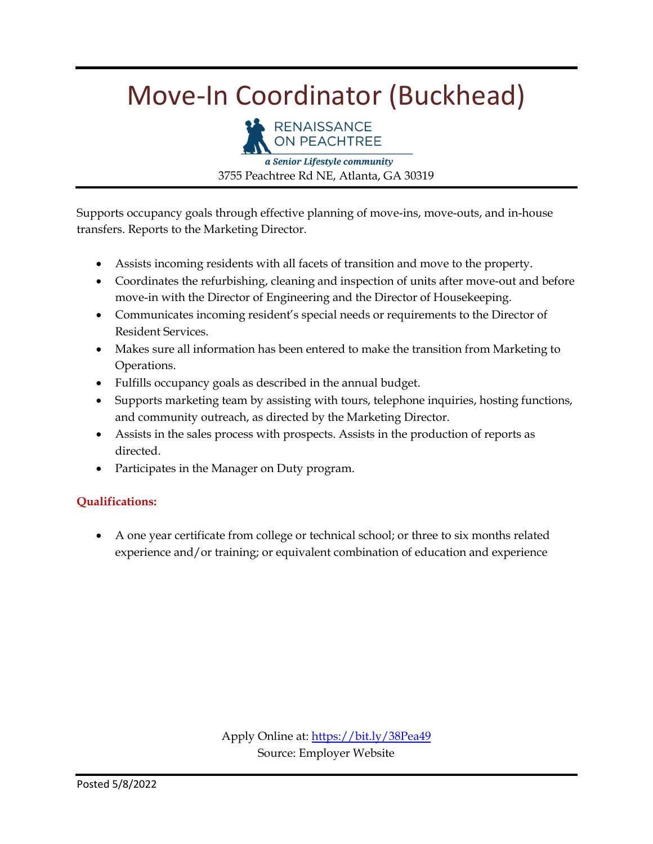### Move-In Coordinator (Buckhead)



a Senior Lifestyle community 3755 Peachtree Rd NE, Atlanta, GA 30319

Supports occupancy goals through effective planning of move-ins, move-outs, and in-house transfers. Reports to the Marketing Director.

- Assists incoming residents with all facets of transition and move to the property.
- Coordinates the refurbishing, cleaning and inspection of units after move-out and before move-in with the Director of Engineering and the Director of Housekeeping.
- Communicates incoming resident's special needs or requirements to the Director of Resident Services.
- Makes sure all information has been entered to make the transition from Marketing to Operations.
- Fulfills occupancy goals as described in the annual budget.
- Supports marketing team by assisting with tours, telephone inquiries, hosting functions, and community outreach, as directed by the Marketing Director.
- Assists in the sales process with prospects. Assists in the production of reports as directed.
- Participates in the Manager on Duty program.

#### **Qualifications:**

 A one year certificate from college or technical school; or three to six months related experience and/or training; or equivalent combination of education and experience

> Apply Online at:<https://bit.ly/38Pea49> Source: Employer Website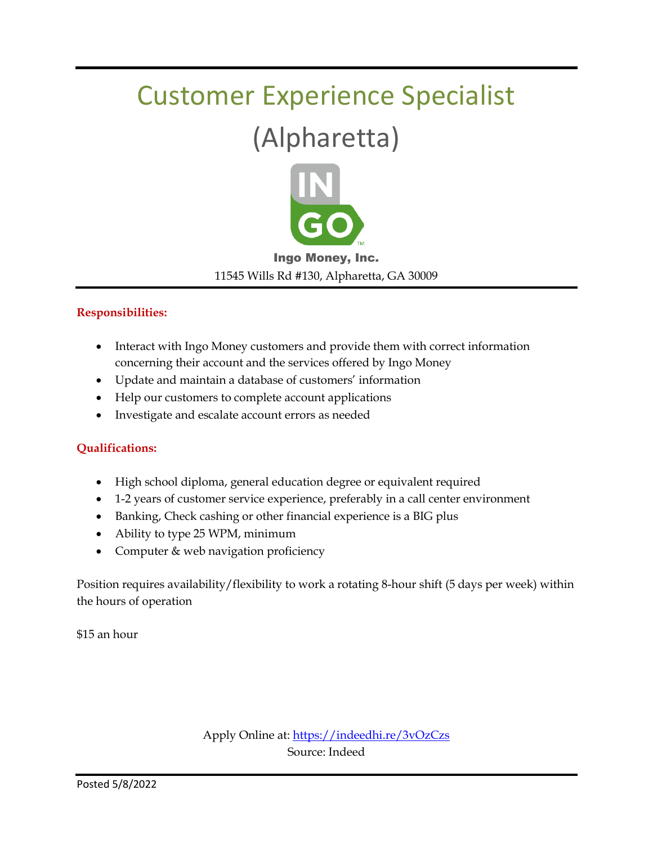# Customer Experience Specialist

### (Alpharetta)



#### Ingo Money, Inc. 11545 Wills Rd #130, Alpharetta, GA 30009

#### **Responsibilities:**

- Interact with Ingo Money customers and provide them with correct information concerning their account and the services offered by Ingo Money
- Update and maintain a database of customers' information
- Help our customers to complete account applications
- Investigate and escalate account errors as needed

#### **Qualifications:**

- High school diploma, general education degree or equivalent required
- 1-2 years of customer service experience, preferably in a call center environment
- Banking, Check cashing or other financial experience is a BIG plus
- Ability to type 25 WPM, minimum
- Computer & web navigation proficiency

Position requires availability/flexibility to work a rotating 8-hour shift (5 days per week) within the hours of operation

\$15 an hour

Apply Online at[: https://indeedhi.re/3vOzCzs](https://indeedhi.re/3vOzCzs) Source: Indeed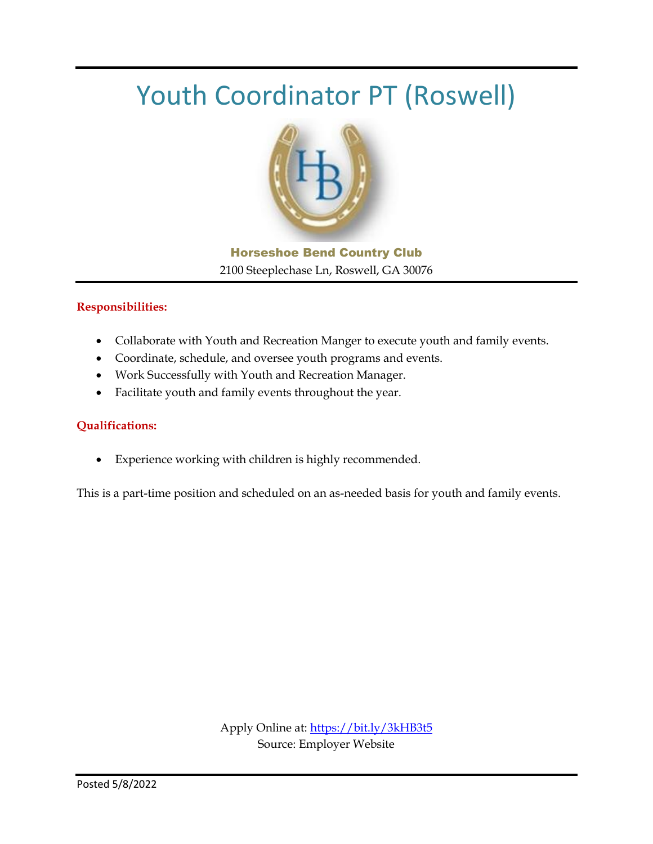### Youth Coordinator PT (Roswell)



Horseshoe Bend Country Club 2100 Steeplechase Ln, Roswell, GA 30076

#### **Responsibilities:**

- Collaborate with Youth and Recreation Manger to execute youth and family events.
- Coordinate, schedule, and oversee youth programs and events.
- Work Successfully with Youth and Recreation Manager.
- Facilitate youth and family events throughout the year.

#### **Qualifications:**

Experience working with children is highly recommended.

This is a part-time position and scheduled on an as-needed basis for youth and family events.

Apply Online at:<https://bit.ly/3kHB3t5> Source: Employer Website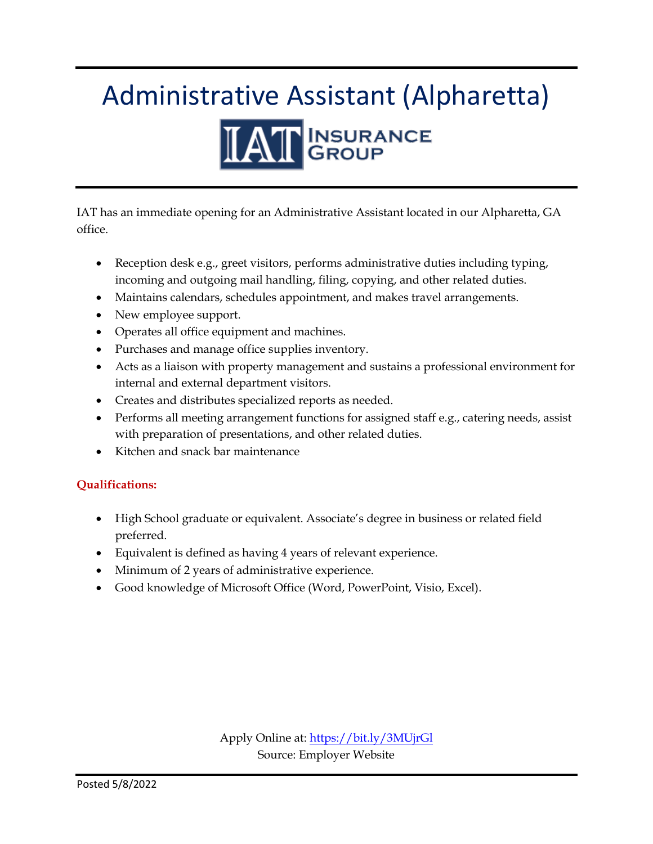# Administrative Assistant (Alpharetta)



IAT has an immediate opening for an Administrative Assistant located in our Alpharetta, GA office.

- Reception desk e.g., greet visitors, performs administrative duties including typing, incoming and outgoing mail handling, filing, copying, and other related duties.
- Maintains calendars, schedules appointment, and makes travel arrangements.
- New employee support.
- Operates all office equipment and machines.
- Purchases and manage office supplies inventory.
- Acts as a liaison with property management and sustains a professional environment for internal and external department visitors.
- Creates and distributes specialized reports as needed.
- Performs all meeting arrangement functions for assigned staff e.g., catering needs, assist with preparation of presentations, and other related duties.
- Kitchen and snack bar maintenance

#### **Qualifications:**

- High School graduate or equivalent. Associate's degree in business or related field preferred.
- Equivalent is defined as having 4 years of relevant experience.
- Minimum of 2 years of administrative experience.
- Good knowledge of Microsoft Office (Word, PowerPoint, Visio, Excel).

Apply Online at:<https://bit.ly/3MUjrGl> Source: Employer Website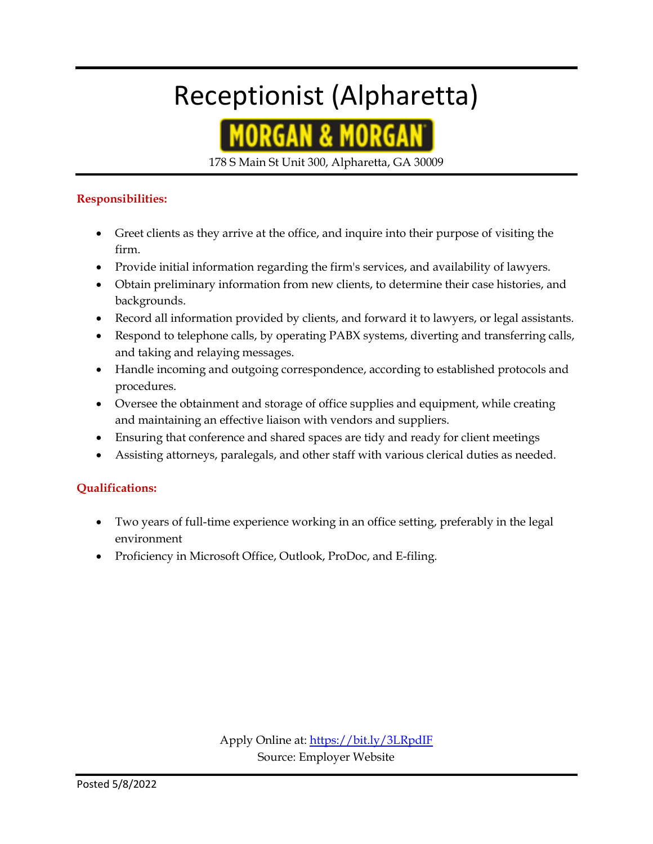## Receptionist (Alpharetta)



178 S Main St Unit 300, Alpharetta, GA 30009

#### **Responsibilities:**

- Greet clients as they arrive at the office, and inquire into their purpose of visiting the firm.
- Provide initial information regarding the firm's services, and availability of lawyers.
- Obtain preliminary information from new clients, to determine their case histories, and backgrounds.
- Record all information provided by clients, and forward it to lawyers, or legal assistants.
- Respond to telephone calls, by operating PABX systems, diverting and transferring calls, and taking and relaying messages.
- Handle incoming and outgoing correspondence, according to established protocols and procedures.
- Oversee the obtainment and storage of office supplies and equipment, while creating and maintaining an effective liaison with vendors and suppliers.
- Ensuring that conference and shared spaces are tidy and ready for client meetings
- Assisting attorneys, paralegals, and other staff with various clerical duties as needed.

#### **Qualifications:**

- Two years of full-time experience working in an office setting, preferably in the legal environment
- Proficiency in Microsoft Office, Outlook, ProDoc, and E-filing.

Apply Online at:<https://bit.ly/3LRpdIF> Source: Employer Website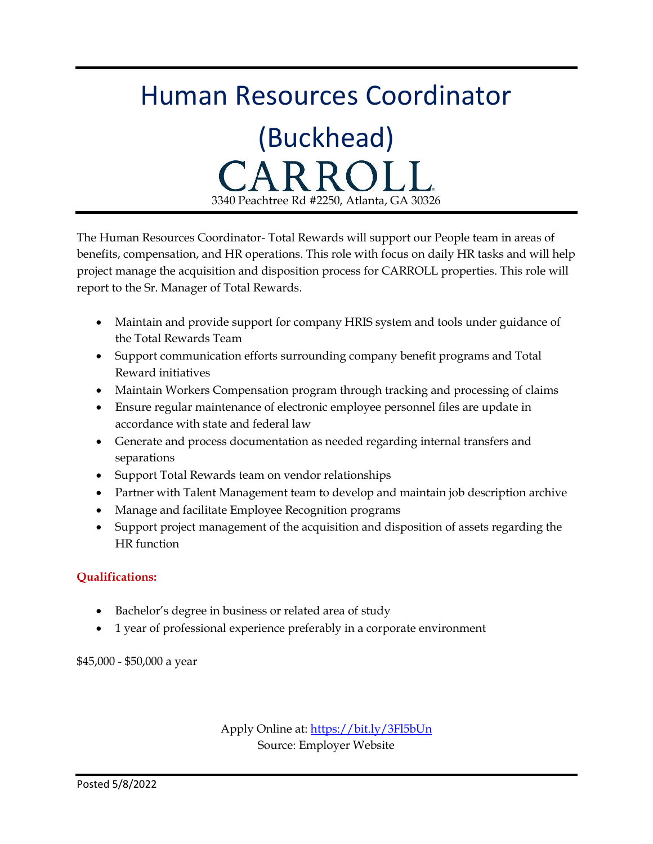# Human Resources Coordinator

(Buckhead) CARR 3340 Peachtree Rd #2250, Atlanta, GA 30326

The Human Resources Coordinator- Total Rewards will support our People team in areas of benefits, compensation, and HR operations. This role with focus on daily HR tasks and will help project manage the acquisition and disposition process for CARROLL properties. This role will report to the Sr. Manager of Total Rewards.

- Maintain and provide support for company HRIS system and tools under guidance of the Total Rewards Team
- Support communication efforts surrounding company benefit programs and Total Reward initiatives
- Maintain Workers Compensation program through tracking and processing of claims
- Ensure regular maintenance of electronic employee personnel files are update in accordance with state and federal law
- Generate and process documentation as needed regarding internal transfers and separations
- Support Total Rewards team on vendor relationships
- Partner with Talent Management team to develop and maintain job description archive
- Manage and facilitate Employee Recognition programs
- Support project management of the acquisition and disposition of assets regarding the HR function

#### **Qualifications:**

- Bachelor's degree in business or related area of study
- 1 year of professional experience preferably in a corporate environment

\$45,000 - \$50,000 a year

Apply Online at:<https://bit.ly/3Fl5bUn> Source: Employer Website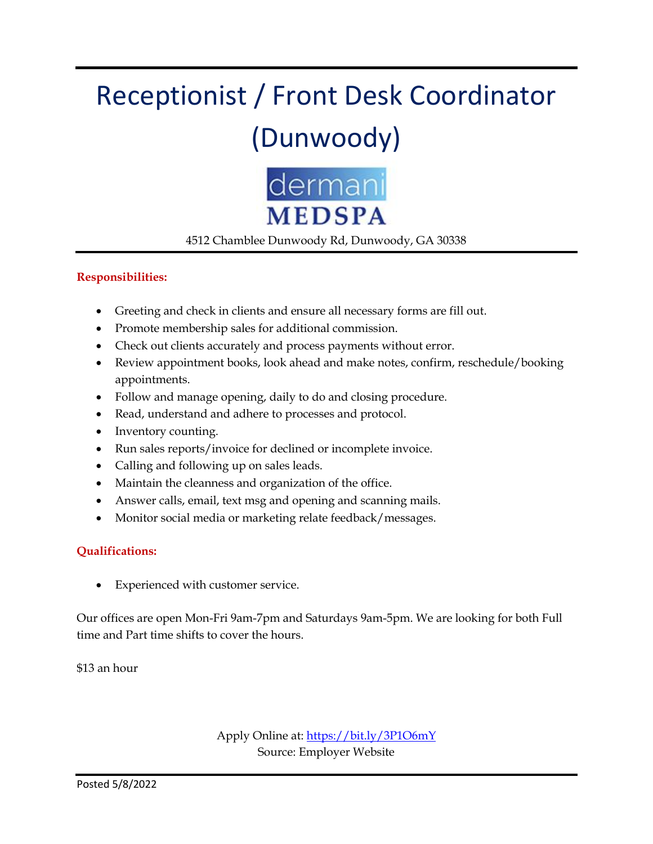# Receptionist / Front Desk Coordinator (Dunwoody)



4512 Chamblee Dunwoody Rd, Dunwoody, GA 30338

#### **Responsibilities:**

- Greeting and check in clients and ensure all necessary forms are fill out.
- Promote membership sales for additional commission.
- Check out clients accurately and process payments without error.
- Review appointment books, look ahead and make notes, confirm, reschedule/booking appointments.
- Follow and manage opening, daily to do and closing procedure.
- Read, understand and adhere to processes and protocol.
- Inventory counting.
- Run sales reports/invoice for declined or incomplete invoice.
- Calling and following up on sales leads.
- Maintain the cleanness and organization of the office.
- Answer calls, email, text msg and opening and scanning mails.
- Monitor social media or marketing relate feedback/messages.

#### **Qualifications:**

Experienced with customer service.

Our offices are open Mon-Fri 9am-7pm and Saturdays 9am-5pm. We are looking for both Full time and Part time shifts to cover the hours.

\$13 an hour

Apply Online at:<https://bit.ly/3P1O6mY> Source: Employer Website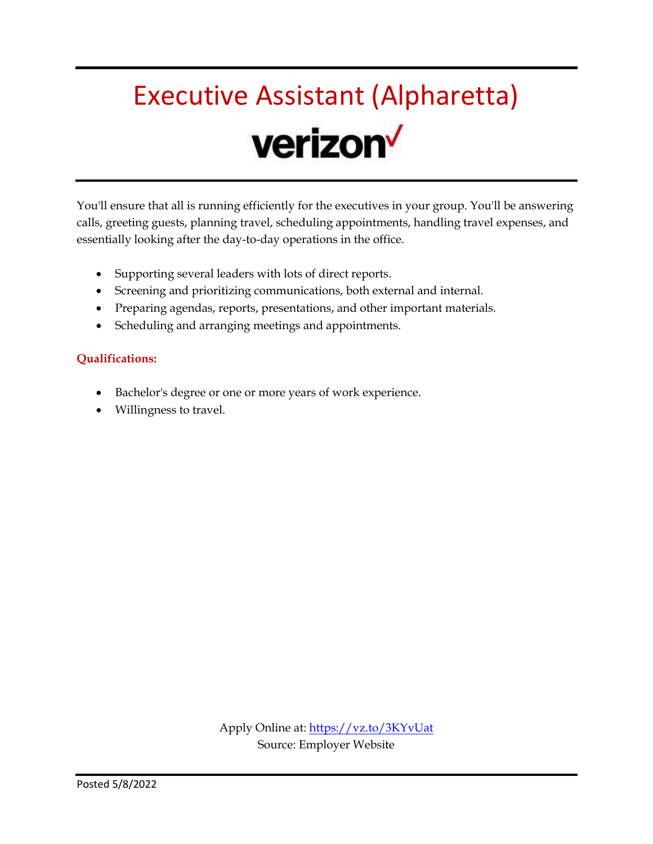# Executive Assistant (Alpharetta) verizon<sup>V</sup>

You'll ensure that all is running efficiently for the executives in your group. You'll be answering calls, greeting guests, planning travel, scheduling appointments, handling travel expenses, and essentially looking after the day-to-day operations in the office.

- Supporting several leaders with lots of direct reports.
- Screening and prioritizing communications, both external and internal.
- Preparing agendas, reports, presentations, and other important materials.
- Scheduling and arranging meetings and appointments.

#### **Qualifications:**

- Bachelor's degree or one or more years of work experience.
- Willingness to travel.

Apply Online at:<https://vz.to/3KYvUat> Source: Employer Website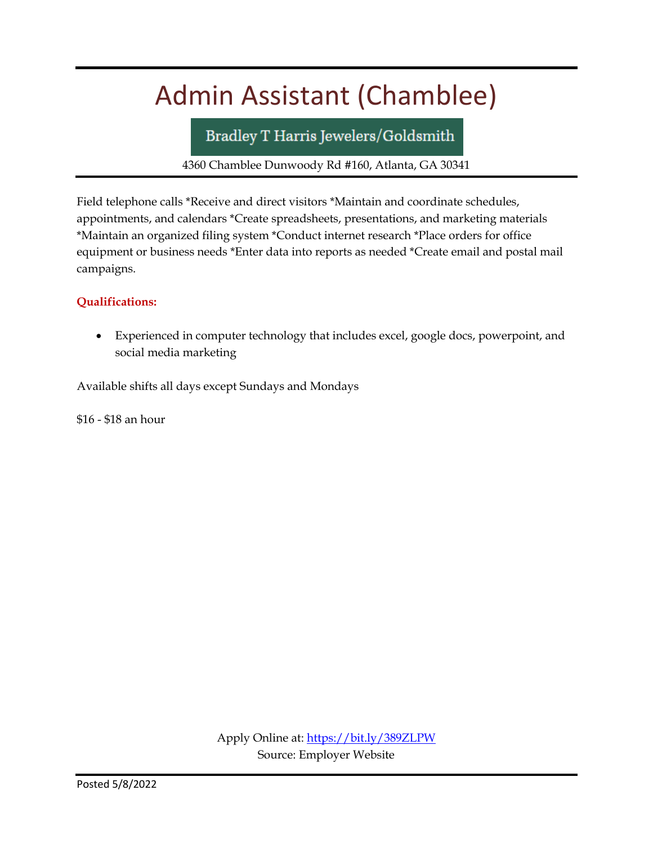### Admin Assistant (Chamblee)

Bradley T Harris Jewelers/Goldsmith

4360 Chamblee Dunwoody Rd #160, Atlanta, GA 30341

Field telephone calls \*Receive and direct visitors \*Maintain and coordinate schedules, appointments, and calendars \*Create spreadsheets, presentations, and marketing materials \*Maintain an organized filing system \*Conduct internet research \*Place orders for office equipment or business needs \*Enter data into reports as needed \*Create email and postal mail campaigns.

#### **Qualifications:**

 Experienced in computer technology that includes excel, google docs, powerpoint, and social media marketing

Available shifts all days except Sundays and Mondays

\$16 - \$18 an hour

Apply Online at:<https://bit.ly/389ZLPW> Source: Employer Website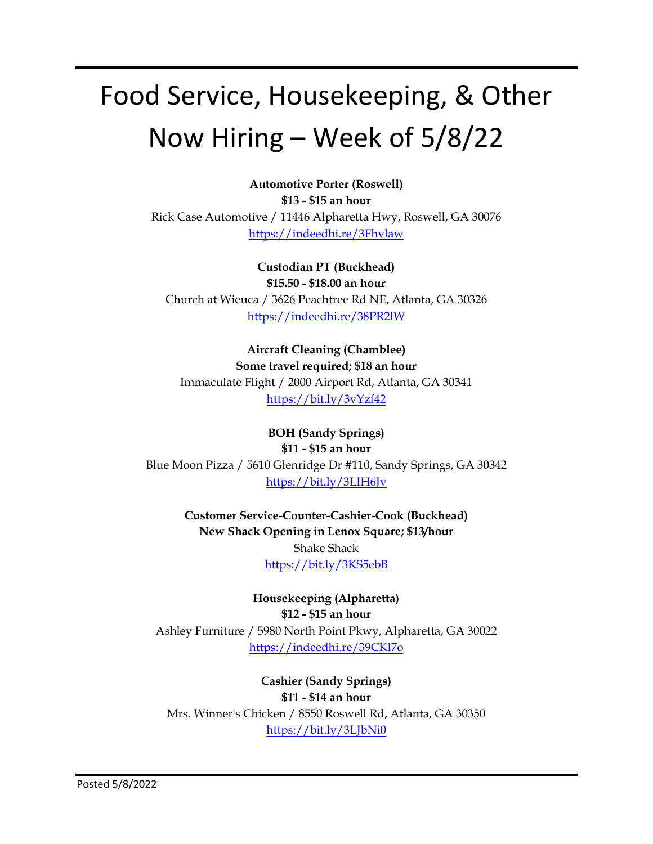# Food Service, Housekeeping, & Other Now Hiring – Week of 5/8/22

**Automotive Porter (Roswell) \$13 - \$15 an hour** Rick Case Automotive / 11446 Alpharetta Hwy, Roswell, GA 30076 <https://indeedhi.re/3Fhvlaw>

**Custodian PT (Buckhead) \$15.50 - \$18.00 an hour** Church at Wieuca / 3626 Peachtree Rd NE, Atlanta, GA 30326 <https://indeedhi.re/38PR2lW>

**Aircraft Cleaning (Chamblee) Some travel required; \$18 an hour** Immaculate Flight / 2000 Airport Rd, Atlanta, GA 30341 <https://bit.ly/3vYzf42>

**BOH (Sandy Springs) \$11 - \$15 an hour** Blue Moon Pizza / 5610 Glenridge Dr #110, Sandy Springs, GA 30342 <https://bit.ly/3LIH6Jv>

> **Customer Service-Counter-Cashier-Cook (Buckhead) New Shack Opening in Lenox Square; \$13/hour** Shake Shack <https://bit.ly/3KS5ebB>

**Housekeeping (Alpharetta) \$12 - \$15 an hour** Ashley Furniture / 5980 North Point Pkwy, Alpharetta, GA 30022 <https://indeedhi.re/39CKl7o>

**Cashier (Sandy Springs) \$11 - \$14 an hour** Mrs. Winner's Chicken / 8550 Roswell Rd, Atlanta, GA 30350 <https://bit.ly/3LJbNi0>